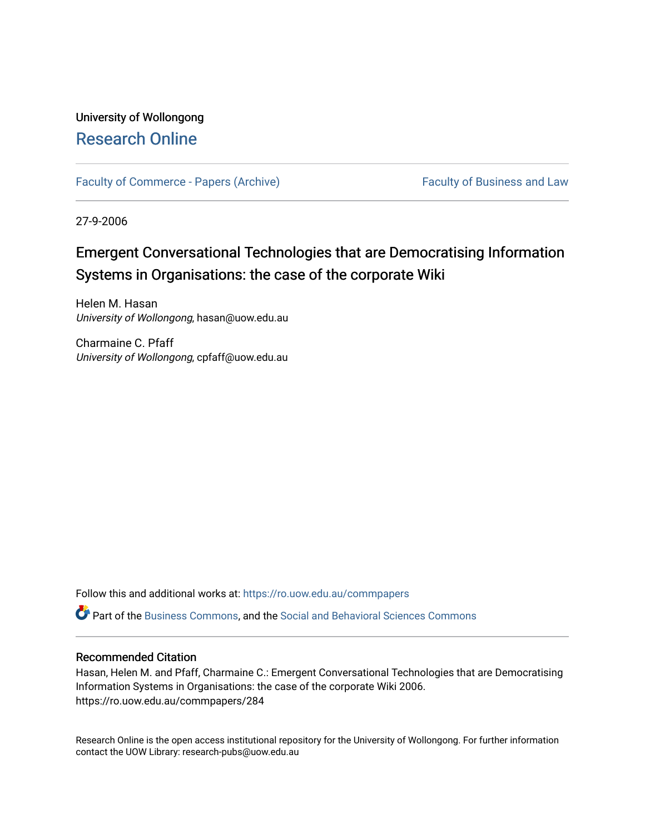# University of Wollongong [Research Online](https://ro.uow.edu.au/)

[Faculty of Commerce - Papers \(Archive\)](https://ro.uow.edu.au/commpapers) Faculty of Business and Law

27-9-2006

# Emergent Conversational Technologies that are Democratising Information Systems in Organisations: the case of the corporate Wiki

Helen M. Hasan University of Wollongong, hasan@uow.edu.au

Charmaine C. Pfaff University of Wollongong, cpfaff@uow.edu.au

Follow this and additional works at: [https://ro.uow.edu.au/commpapers](https://ro.uow.edu.au/commpapers?utm_source=ro.uow.edu.au%2Fcommpapers%2F284&utm_medium=PDF&utm_campaign=PDFCoverPages) 

Part of the [Business Commons](http://network.bepress.com/hgg/discipline/622?utm_source=ro.uow.edu.au%2Fcommpapers%2F284&utm_medium=PDF&utm_campaign=PDFCoverPages), and the [Social and Behavioral Sciences Commons](http://network.bepress.com/hgg/discipline/316?utm_source=ro.uow.edu.au%2Fcommpapers%2F284&utm_medium=PDF&utm_campaign=PDFCoverPages) 

#### Recommended Citation

Hasan, Helen M. and Pfaff, Charmaine C.: Emergent Conversational Technologies that are Democratising Information Systems in Organisations: the case of the corporate Wiki 2006. https://ro.uow.edu.au/commpapers/284

Research Online is the open access institutional repository for the University of Wollongong. For further information contact the UOW Library: research-pubs@uow.edu.au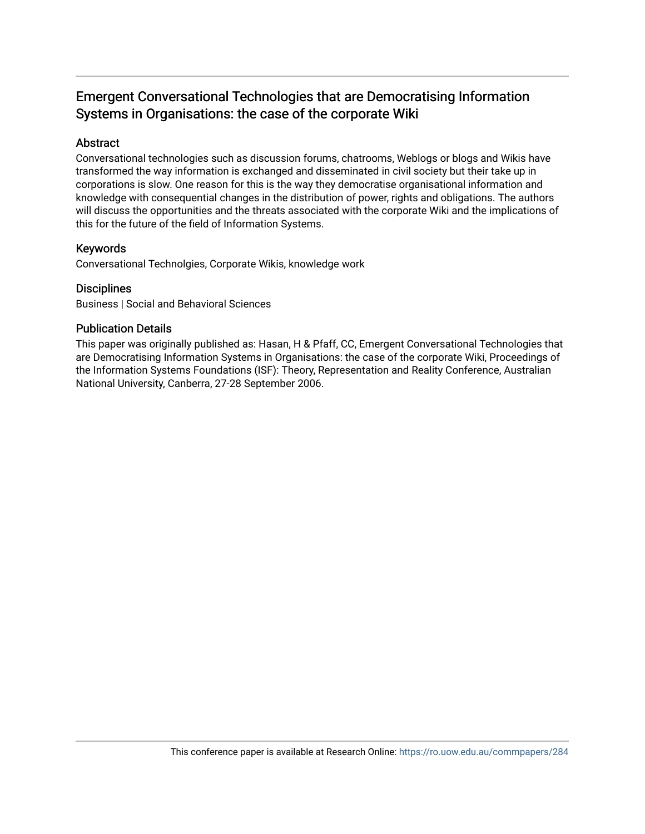# Emergent Conversational Technologies that are Democratising Information Systems in Organisations: the case of the corporate Wiki

#### Abstract

Conversational technologies such as discussion forums, chatrooms, Weblogs or blogs and Wikis have transformed the way information is exchanged and disseminated in civil society but their take up in corporations is slow. One reason for this is the way they democratise organisational information and knowledge with consequential changes in the distribution of power, rights and obligations. The authors will discuss the opportunities and the threats associated with the corporate Wiki and the implications of this for the future of the field of Information Systems.

#### Keywords

Conversational Technolgies, Corporate Wikis, knowledge work

#### **Disciplines**

Business | Social and Behavioral Sciences

#### Publication Details

This paper was originally published as: Hasan, H & Pfaff, CC, Emergent Conversational Technologies that are Democratising Information Systems in Organisations: the case of the corporate Wiki, Proceedings of the Information Systems Foundations (ISF): Theory, Representation and Reality Conference, Australian National University, Canberra, 27-28 September 2006.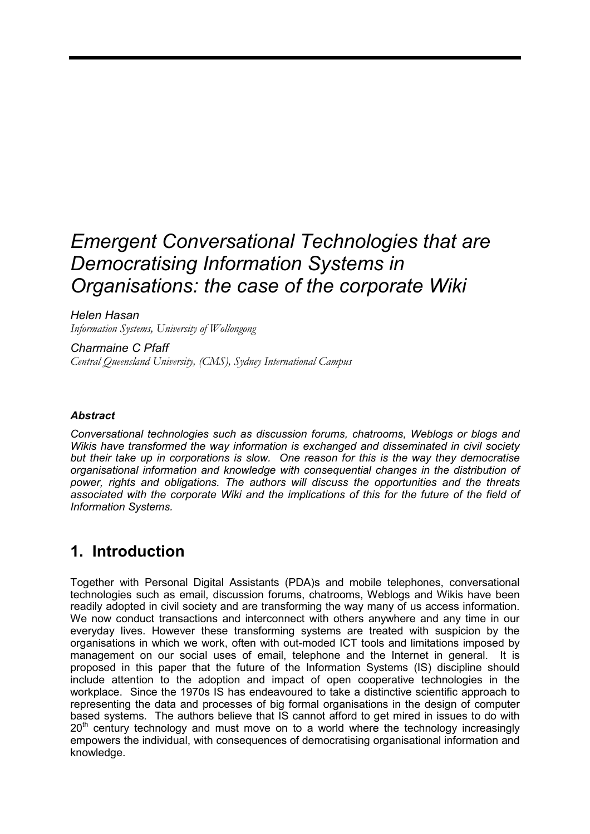# *Emergent Conversational Technologies that are Democratising Information Systems in Organisations: the case of the corporate Wiki*

*Helen Hasan* 

*Information Systems, University of Wollongong* 

*Charmaine C Pfaff Central Queensland University, (CMS), Sydney International Campus* 

#### *Abstract*

*Conversational technologies such as discussion forums, chatrooms, Weblogs or blogs and Wikis have transformed the way information is exchanged and disseminated in civil society but their take up in corporations is slow. One reason for this is the way they democratise organisational information and knowledge with consequential changes in the distribution of power, rights and obligations. The authors will discuss the opportunities and the threats associated with the corporate Wiki and the implications of this for the future of the field of Information Systems.* 

# **1. Introduction**

Together with Personal Digital Assistants (PDA)s and mobile telephones, conversational technologies such as email, discussion forums, chatrooms, Weblogs and Wikis have been readily adopted in civil society and are transforming the way many of us access information. We now conduct transactions and interconnect with others anywhere and any time in our everyday lives. However these transforming systems are treated with suspicion by the organisations in which we work, often with out-moded ICT tools and limitations imposed by management on our social uses of email, telephone and the Internet in general. It is proposed in this paper that the future of the Information Systems (IS) discipline should include attention to the adoption and impact of open cooperative technologies in the workplace. Since the 1970s IS has endeavoured to take a distinctive scientific approach to representing the data and processes of big formal organisations in the design of computer based systems. The authors believe that IS cannot afford to get mired in issues to do with  $20<sup>th</sup>$  century technology and must move on to a world where the technology increasingly empowers the individual, with consequences of democratising organisational information and knowledge.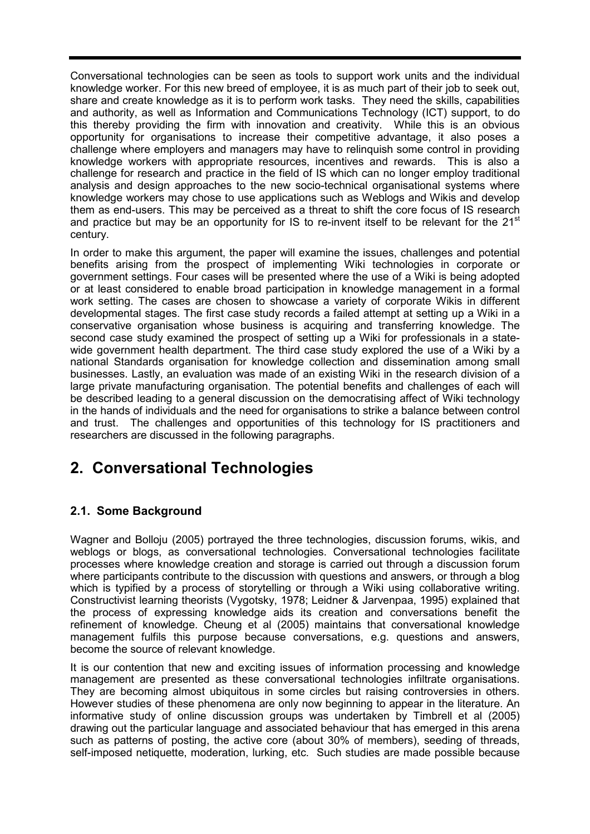Conversational technologies can be seen as tools to support work units and the individual knowledge worker. For this new breed of employee, it is as much part of their job to seek out, share and create knowledge as it is to perform work tasks. They need the skills, capabilities and authority, as well as Information and Communications Technology (ICT) support, to do this thereby providing the firm with innovation and creativity. While this is an obvious opportunity for organisations to increase their competitive advantage, it also poses a challenge where employers and managers may have to relinquish some control in providing knowledge workers with appropriate resources, incentives and rewards. This is also a challenge for research and practice in the field of IS which can no longer employ traditional analysis and design approaches to the new socio-technical organisational systems where knowledge workers may chose to use applications such as Weblogs and Wikis and develop them as end-users. This may be perceived as a threat to shift the core focus of IS research and practice but may be an opportunity for IS to re-invent itself to be relevant for the 21<sup>st</sup> century.

In order to make this argument, the paper will examine the issues, challenges and potential benefits arising from the prospect of implementing Wiki technologies in corporate or government settings. Four cases will be presented where the use of a Wiki is being adopted or at least considered to enable broad participation in knowledge management in a formal work setting. The cases are chosen to showcase a variety of corporate Wikis in different developmental stages. The first case study records a failed attempt at setting up a Wiki in a conservative organisation whose business is acquiring and transferring knowledge. The second case study examined the prospect of setting up a Wiki for professionals in a statewide government health department. The third case study explored the use of a Wiki by a national Standards organisation for knowledge collection and dissemination among small businesses. Lastly, an evaluation was made of an existing Wiki in the research division of a large private manufacturing organisation. The potential benefits and challenges of each will be described leading to a general discussion on the democratising affect of Wiki technology in the hands of individuals and the need for organisations to strike a balance between control and trust. The challenges and opportunities of this technology for IS practitioners and researchers are discussed in the following paragraphs.

# **2. Conversational Technologies**

### **2.1. Some Background**

Wagner and Bolloju (2005) portrayed the three technologies, discussion forums, wikis, and weblogs or blogs, as conversational technologies. Conversational technologies facilitate processes where knowledge creation and storage is carried out through a discussion forum where participants contribute to the discussion with questions and answers, or through a blog which is typified by a process of storytelling or through a Wiki using collaborative writing. Constructivist learning theorists (Vygotsky, 1978; Leidner & Jarvenpaa, 1995) explained that the process of expressing knowledge aids its creation and conversations benefit the refinement of knowledge. Cheung et al (2005) maintains that conversational knowledge management fulfils this purpose because conversations, e.g. questions and answers, become the source of relevant knowledge.

It is our contention that new and exciting issues of information processing and knowledge management are presented as these conversational technologies infiltrate organisations. They are becoming almost ubiquitous in some circles but raising controversies in others. However studies of these phenomena are only now beginning to appear in the literature. An informative study of online discussion groups was undertaken by Timbrell et al (2005) drawing out the particular language and associated behaviour that has emerged in this arena such as patterns of posting, the active core (about 30% of members), seeding of threads, self-imposed netiquette, moderation, lurking, etc. Such studies are made possible because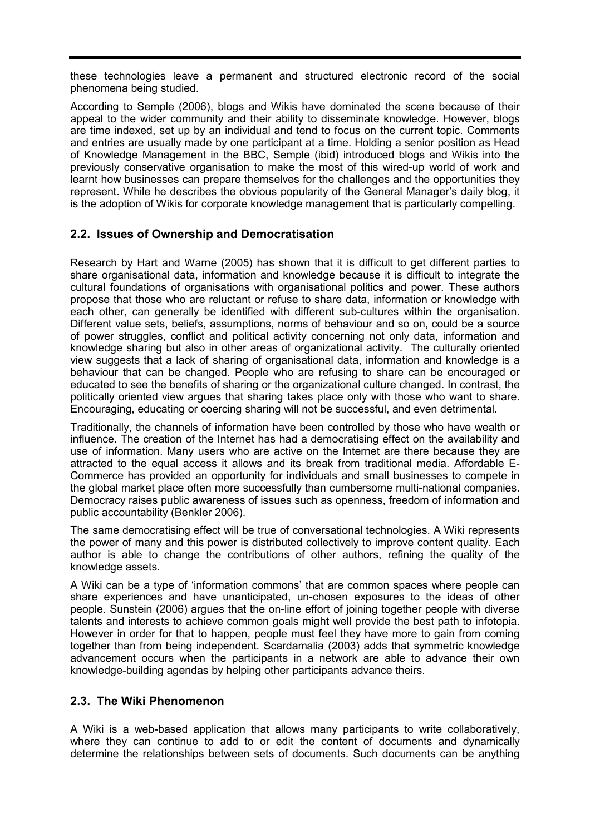these technologies leave a permanent and structured electronic record of the social phenomena being studied.

According to Semple (2006), blogs and Wikis have dominated the scene because of their appeal to the wider community and their ability to disseminate knowledge. However, blogs are time indexed, set up by an individual and tend to focus on the current topic. Comments and entries are usually made by one participant at a time. Holding a senior position as Head of Knowledge Management in the BBC, Semple (ibid) introduced blogs and Wikis into the previously conservative organisation to make the most of this wired-up world of work and learnt how businesses can prepare themselves for the challenges and the opportunities they represent. While he describes the obvious popularity of the General Manager's daily blog, it is the adoption of Wikis for corporate knowledge management that is particularly compelling.

### **2.2. Issues of Ownership and Democratisation**

Research by Hart and Warne (2005) has shown that it is difficult to get different parties to share organisational data, information and knowledge because it is difficult to integrate the cultural foundations of organisations with organisational politics and power. These authors propose that those who are reluctant or refuse to share data, information or knowledge with each other, can generally be identified with different sub-cultures within the organisation. Different value sets, beliefs, assumptions, norms of behaviour and so on, could be a source of power struggles, conflict and political activity concerning not only data, information and knowledge sharing but also in other areas of organizational activity. The culturally oriented view suggests that a lack of sharing of organisational data, information and knowledge is a behaviour that can be changed. People who are refusing to share can be encouraged or educated to see the benefits of sharing or the organizational culture changed. In contrast, the politically oriented view argues that sharing takes place only with those who want to share. Encouraging, educating or coercing sharing will not be successful, and even detrimental.

Traditionally, the channels of information have been controlled by those who have wealth or influence. The creation of the Internet has had a democratising effect on the availability and use of information. Many users who are active on the Internet are there because they are attracted to the equal access it allows and its break from traditional media. Affordable E-Commerce has provided an opportunity for individuals and small businesses to compete in the global market place often more successfully than cumbersome multi-national companies. Democracy raises public awareness of issues such as openness, freedom of information and public accountability (Benkler 2006).

The same democratising effect will be true of conversational technologies. A Wiki represents the power of many and this power is distributed collectively to improve content quality. Each author is able to change the contributions of other authors, refining the quality of the knowledge assets.

A Wiki can be a type of 'information commons' that are common spaces where people can share experiences and have unanticipated, un-chosen exposures to the ideas of other people. Sunstein (2006) argues that the on-line effort of joining together people with diverse talents and interests to achieve common goals might well provide the best path to infotopia. However in order for that to happen, people must feel they have more to gain from coming together than from being independent. Scardamalia (2003) adds that symmetric knowledge advancement occurs when the participants in a network are able to advance their own knowledge-building agendas by helping other participants advance theirs.

### **2.3. The Wiki Phenomenon**

A Wiki is a web-based application that allows many participants to write collaboratively, where they can continue to add to or edit the content of documents and dynamically determine the relationships between sets of documents. Such documents can be anything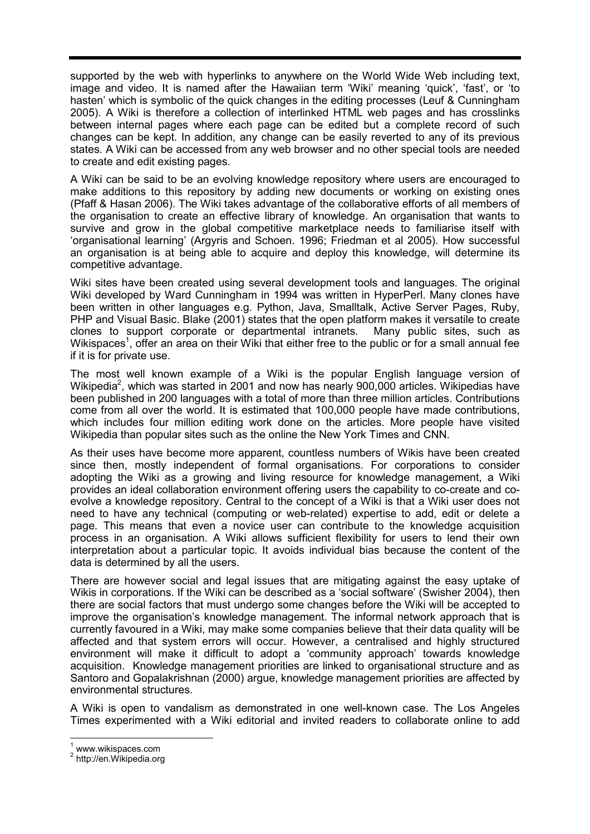supported by the web with hyperlinks to anywhere on the World Wide Web including text, image and video. It is named after the Hawaiian term 'Wiki' meaning 'quick', 'fast', or 'to hasten' which is symbolic of the quick changes in the editing processes (Leuf & Cunningham 2005). A Wiki is therefore a collection of interlinked HTML web pages and has crosslinks between internal pages where each page can be edited but a complete record of such changes can be kept. In addition, any change can be easily reverted to any of its previous states. A Wiki can be accessed from any web browser and no other special tools are needed to create and edit existing pages.

A Wiki can be said to be an evolving knowledge repository where users are encouraged to make additions to this repository by adding new documents or working on existing ones (Pfaff & Hasan 2006). The Wiki takes advantage of the collaborative efforts of all members of the organisation to create an effective library of knowledge. An organisation that wants to survive and grow in the global competitive marketplace needs to familiarise itself with 'organisational learning' (Argyris and Schoen. 1996; Friedman et al 2005). How successful an organisation is at being able to acquire and deploy this knowledge, will determine its competitive advantage.

Wiki sites have been created using several development tools and languages. The original Wiki developed by Ward Cunningham in 1994 was written in HyperPerl. Many clones have been written in other languages e.g. Python, Java, Smalltalk, Active Server Pages, Ruby, PHP and Visual Basic. Blake (2001) states that the open platform makes it versatile to create clones to support corporate or departmental intranets. Many public sites, such as Wikispaces<sup>1</sup>, offer an area on their Wiki that either free to the public or for a small annual fee if it is for private use.

The most well known example of a Wiki is the popular English language version of Wikipedia<sup>2</sup>, which was started in 2001 and now has nearly 900,000 articles. Wikipedias have been published in 200 languages with a total of more than three million articles. Contributions come from all over the world. It is estimated that 100,000 people have made contributions, which includes four million editing work done on the articles. More people have visited Wikipedia than popular sites such as the online the New York Times and CNN.

As their uses have become more apparent, countless numbers of Wikis have been created since then, mostly independent of formal organisations. For corporations to consider adopting the Wiki as a growing and living resource for knowledge management, a Wiki provides an ideal collaboration environment offering users the capability to co-create and coevolve a knowledge repository. Central to the concept of a Wiki is that a Wiki user does not need to have any technical (computing or web-related) expertise to add, edit or delete a page. This means that even a novice user can contribute to the knowledge acquisition process in an organisation. A Wiki allows sufficient flexibility for users to lend their own interpretation about a particular topic. It avoids individual bias because the content of the data is determined by all the users.

There are however social and legal issues that are mitigating against the easy uptake of Wikis in corporations. If the Wiki can be described as a 'social software' (Swisher 2004), then there are social factors that must undergo some changes before the Wiki will be accepted to improve the organisation's knowledge management. The informal network approach that is currently favoured in a Wiki, may make some companies believe that their data quality will be affected and that system errors will occur. However, a centralised and highly structured environment will make it difficult to adopt a 'community approach' towards knowledge acquisition. Knowledge management priorities are linked to organisational structure and as Santoro and Gopalakrishnan (2000) argue, knowledge management priorities are affected by environmental structures.

A Wiki is open to vandalism as demonstrated in one well-known case. The Los Angeles Times experimented with a Wiki editorial and invited readers to collaborate online to add

 $\frac{1}{2}$  www.wikispaces.com<br> $\frac{2}{2}$  http://en.Wikipedia.org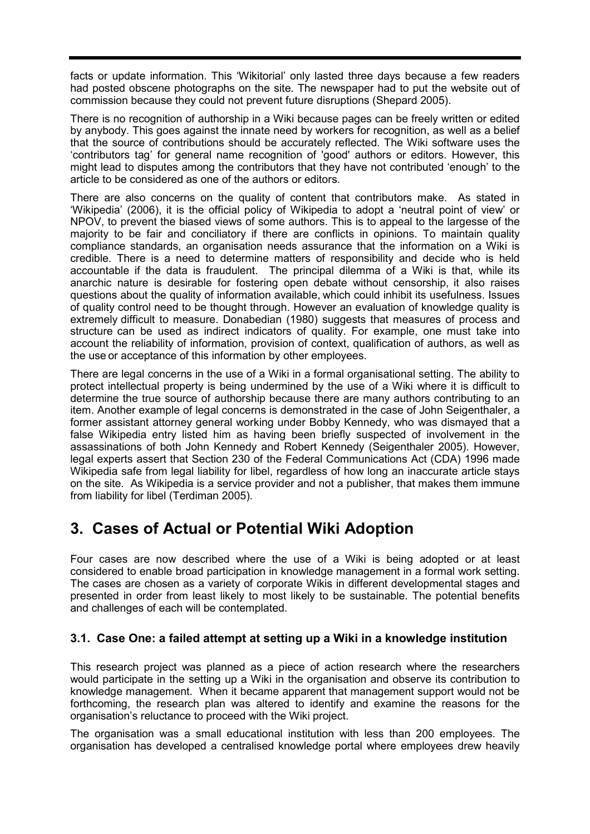facts or update information. This 'Wikitorial' only lasted three days because a few readers had posted obscene photographs on the site. The newspaper had to put the website out of commission because they could not prevent future disruptions (Shepard 2005).

There is no recognition of authorship in a Wiki because pages can be freely written or edited by anybody. This goes against the innate need by workers for recognition, as well as a belief that the source of contributions should be accurately reflected. The Wiki software uses the 'contributors tag' for general name recognition of 'good' authors or editors. However, this might lead to disputes among the contributors that they have not contributed 'enough' to the article to be considered as one of the authors or editors.

There are also concerns on the quality of content that contributors make. As stated in 'Wikipedia' (2006), it is the official policy of Wikipedia to adopt a 'neutral point of view' or NPOV, to prevent the biased views of some authors. This is to appeal to the largesse of the majority to be fair and conciliatory if there are conflicts in opinions. To maintain quality compliance standards, an organisation needs assurance that the information on a Wiki is credible. There is a need to determine matters of responsibility and decide who is held accountable if the data is fraudulent. The principal dilemma of a Wiki is that, while its anarchic nature is desirable for fostering open debate without censorship, it also raises questions about the quality of information available, which could inhibit its usefulness. Issues of quality control need to be thought through. However an evaluation of knowledge quality is extremely difficult to measure. Donabedian (1980) suggests that measures of process and structure can be used as indirect indicators of quality. For example, one must take into account the reliability of information, provision of context, qualification of authors, as well as the use or acceptance of this information by other employees.

There are legal concerns in the use of a Wiki in a formal organisational setting. The ability to protect intellectual property is being undermined by the use of a Wiki where it is difficult to determine the true source of authorship because there are many authors contributing to an item. Another example of legal concerns is demonstrated in the case of John Seigenthaler, a former assistant attorney general working under Bobby Kennedy, who was dismayed that a false Wikipedia entry listed him as having been briefly suspected of involvement in the assassinations of both John Kennedy and Robert Kennedy (Seigenthaler 2005). However, legal experts assert that Section 230 of the Federal Communications Act (CDA) 1996 made Wikipedia safe from legal liability for libel, regardless of how long an inaccurate article stays on the site. As Wikipedia is a service provider and not a publisher, that makes them immune from liability for libel (Terdiman 2005).

# **3. Cases of Actual or Potential Wiki Adoption**

Four cases are now described where the use of a Wiki is being adopted or at least considered to enable broad participation in knowledge management in a formal work setting. The cases are chosen as a variety of corporate Wikis in different developmental stages and presented in order from least likely to most likely to be sustainable. The potential benefits and challenges of each will be contemplated.

## **3.1. Case One: a failed attempt at setting up a Wiki in a knowledge institution**

This research project was planned as a piece of action research where the researchers would participate in the setting up a Wiki in the organisation and observe its contribution to knowledge management. When it became apparent that management support would not be forthcoming, the research plan was altered to identify and examine the reasons for the organisation's reluctance to proceed with the Wiki project.

The organisation was a small educational institution with less than 200 employees. The organisation has developed a centralised knowledge portal where employees drew heavily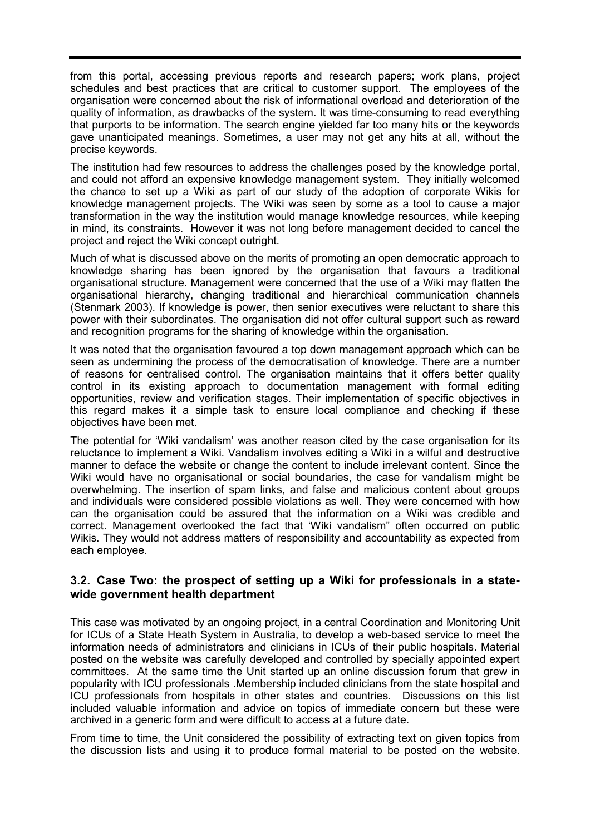from this portal, accessing previous reports and research papers; work plans, project schedules and best practices that are critical to customer support. The employees of the organisation were concerned about the risk of informational overload and deterioration of the quality of information, as drawbacks of the system. It was time-consuming to read everything that purports to be information. The search engine yielded far too many hits or the keywords gave unanticipated meanings. Sometimes, a user may not get any hits at all, without the precise keywords.

The institution had few resources to address the challenges posed by the knowledge portal, and could not afford an expensive knowledge management system. They initially welcomed the chance to set up a Wiki as part of our study of the adoption of corporate Wikis for knowledge management projects. The Wiki was seen by some as a tool to cause a major transformation in the way the institution would manage knowledge resources, while keeping in mind, its constraints. However it was not long before management decided to cancel the project and reject the Wiki concept outright.

Much of what is discussed above on the merits of promoting an open democratic approach to knowledge sharing has been ignored by the organisation that favours a traditional organisational structure. Management were concerned that the use of a Wiki may flatten the organisational hierarchy, changing traditional and hierarchical communication channels (Stenmark 2003). If knowledge is power, then senior executives were reluctant to share this power with their subordinates. The organisation did not offer cultural support such as reward and recognition programs for the sharing of knowledge within the organisation.

It was noted that the organisation favoured a top down management approach which can be seen as undermining the process of the democratisation of knowledge. There are a number of reasons for centralised control. The organisation maintains that it offers better quality control in its existing approach to documentation management with formal editing opportunities, review and verification stages. Their implementation of specific objectives in this regard makes it a simple task to ensure local compliance and checking if these objectives have been met.

The potential for 'Wiki vandalism' was another reason cited by the case organisation for its reluctance to implement a Wiki. Vandalism involves editing a Wiki in a wilful and destructive manner to deface the website or change the content to include irrelevant content. Since the Wiki would have no organisational or social boundaries, the case for vandalism might be overwhelming. The insertion of spam links, and false and malicious content about groups and individuals were considered possible violations as well. They were concerned with how can the organisation could be assured that the information on a Wiki was credible and correct. Management overlooked the fact that 'Wiki vandalism" often occurred on public Wikis. They would not address matters of responsibility and accountability as expected from each employee.

### **3.2. Case Two: the prospect of setting up a Wiki for professionals in a statewide government health department**

This case was motivated by an ongoing project, in a central Coordination and Monitoring Unit for ICUs of a State Heath System in Australia, to develop a web-based service to meet the information needs of administrators and clinicians in ICUs of their public hospitals. Material posted on the website was carefully developed and controlled by specially appointed expert committees. At the same time the Unit started up an online discussion forum that grew in popularity with ICU professionals .Membership included clinicians from the state hospital and ICU professionals from hospitals in other states and countries. Discussions on this list included valuable information and advice on topics of immediate concern but these were archived in a generic form and were difficult to access at a future date.

From time to time, the Unit considered the possibility of extracting text on given topics from the discussion lists and using it to produce formal material to be posted on the website.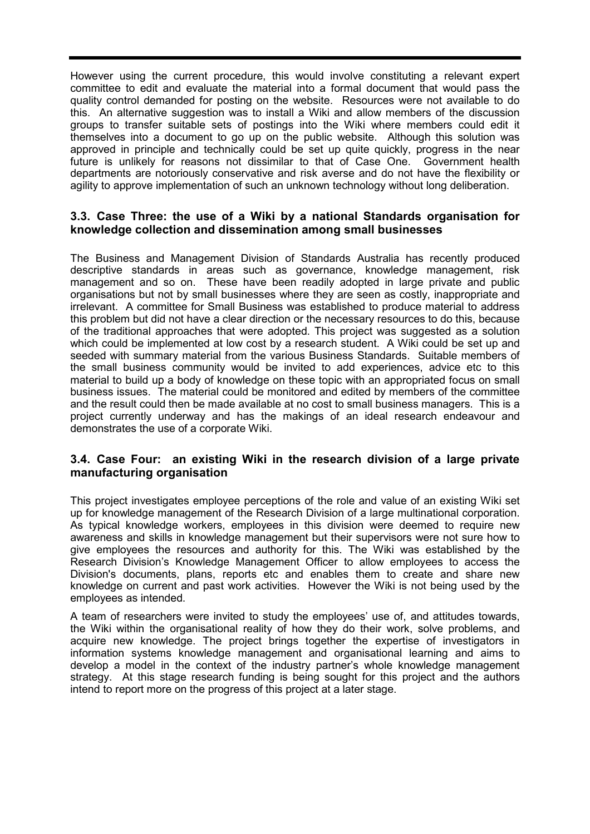However using the current procedure, this would involve constituting a relevant expert committee to edit and evaluate the material into a formal document that would pass the quality control demanded for posting on the website. Resources were not available to do this. An alternative suggestion was to install a Wiki and allow members of the discussion groups to transfer suitable sets of postings into the Wiki where members could edit it themselves into a document to go up on the public website. Although this solution was approved in principle and technically could be set up quite quickly, progress in the near future is unlikely for reasons not dissimilar to that of Case One. Government health departments are notoriously conservative and risk averse and do not have the flexibility or agility to approve implementation of such an unknown technology without long deliberation.

### **3.3. Case Three: the use of a Wiki by a national Standards organisation for knowledge collection and dissemination among small businesses**

The Business and Management Division of Standards Australia has recently produced descriptive standards in areas such as governance, knowledge management, risk management and so on. These have been readily adopted in large private and public organisations but not by small businesses where they are seen as costly, inappropriate and irrelevant. A committee for Small Business was established to produce material to address this problem but did not have a clear direction or the necessary resources to do this, because of the traditional approaches that were adopted. This project was suggested as a solution which could be implemented at low cost by a research student. A Wiki could be set up and seeded with summary material from the various Business Standards. Suitable members of the small business community would be invited to add experiences, advice etc to this material to build up a body of knowledge on these topic with an appropriated focus on small business issues. The material could be monitored and edited by members of the committee and the result could then be made available at no cost to small business managers. This is a project currently underway and has the makings of an ideal research endeavour and demonstrates the use of a corporate Wiki.

### **3.4. Case Four: an existing Wiki in the research division of a large private manufacturing organisation**

This project investigates employee perceptions of the role and value of an existing Wiki set up for knowledge management of the Research Division of a large multinational corporation. As typical knowledge workers, employees in this division were deemed to require new awareness and skills in knowledge management but their supervisors were not sure how to give employees the resources and authority for this. The Wiki was established by the Research Division's Knowledge Management Officer to allow employees to access the Division's documents, plans, reports etc and enables them to create and share new knowledge on current and past work activities. However the Wiki is not being used by the employees as intended.

A team of researchers were invited to study the employees' use of, and attitudes towards, the Wiki within the organisational reality of how they do their work, solve problems, and acquire new knowledge. The project brings together the expertise of investigators in information systems knowledge management and organisational learning and aims to develop a model in the context of the industry partner's whole knowledge management strategy. At this stage research funding is being sought for this project and the authors intend to report more on the progress of this project at a later stage.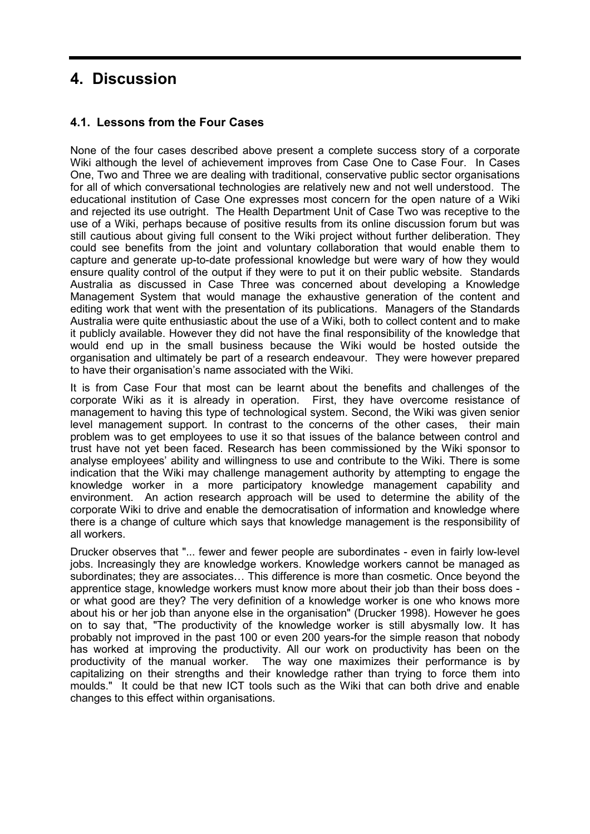# **4. Discussion**

### **4.1. Lessons from the Four Cases**

None of the four cases described above present a complete success story of a corporate Wiki although the level of achievement improves from Case One to Case Four. In Cases One, Two and Three we are dealing with traditional, conservative public sector organisations for all of which conversational technologies are relatively new and not well understood. The educational institution of Case One expresses most concern for the open nature of a Wiki and rejected its use outright. The Health Department Unit of Case Two was receptive to the use of a Wiki, perhaps because of positive results from its online discussion forum but was still cautious about giving full consent to the Wiki project without further deliberation. They could see benefits from the joint and voluntary collaboration that would enable them to capture and generate up-to-date professional knowledge but were wary of how they would ensure quality control of the output if they were to put it on their public website. Standards Australia as discussed in Case Three was concerned about developing a Knowledge Management System that would manage the exhaustive generation of the content and editing work that went with the presentation of its publications. Managers of the Standards Australia were quite enthusiastic about the use of a Wiki, both to collect content and to make it publicly available. However they did not have the final responsibility of the knowledge that would end up in the small business because the Wiki would be hosted outside the organisation and ultimately be part of a research endeavour. They were however prepared to have their organisation's name associated with the Wiki.

It is from Case Four that most can be learnt about the benefits and challenges of the corporate Wiki as it is already in operation. First, they have overcome resistance of management to having this type of technological system. Second, the Wiki was given senior level management support. In contrast to the concerns of the other cases, their main problem was to get employees to use it so that issues of the balance between control and trust have not yet been faced. Research has been commissioned by the Wiki sponsor to analyse employees' ability and willingness to use and contribute to the Wiki. There is some indication that the Wiki may challenge management authority by attempting to engage the knowledge worker in a more participatory knowledge management capability and environment. An action research approach will be used to determine the ability of the corporate Wiki to drive and enable the democratisation of information and knowledge where there is a change of culture which says that knowledge management is the responsibility of all workers.

Drucker observes that "... fewer and fewer people are subordinates - even in fairly low-level jobs. Increasingly they are knowledge workers. Knowledge workers cannot be managed as subordinates; they are associates… This difference is more than cosmetic. Once beyond the apprentice stage, knowledge workers must know more about their job than their boss does or what good are they? The very definition of a knowledge worker is one who knows more about his or her job than anyone else in the organisation" (Drucker 1998). However he goes on to say that, "The productivity of the knowledge worker is still abysmally low. It has probably not improved in the past 100 or even 200 years-for the simple reason that nobody has worked at improving the productivity. All our work on productivity has been on the productivity of the manual worker. The way one maximizes their performance is by capitalizing on their strengths and their knowledge rather than trying to force them into moulds." It could be that new ICT tools such as the Wiki that can both drive and enable changes to this effect within organisations.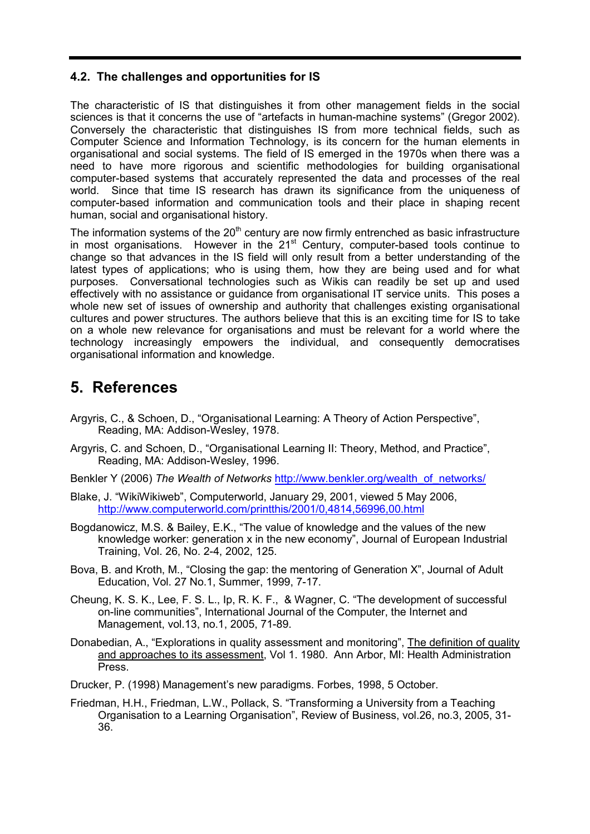### **4.2. The challenges and opportunities for IS**

The characteristic of IS that distinguishes it from other management fields in the social sciences is that it concerns the use of "artefacts in human-machine systems" (Gregor 2002). Conversely the characteristic that distinguishes IS from more technical fields, such as Computer Science and Information Technology, is its concern for the human elements in organisational and social systems. The field of IS emerged in the 1970s when there was a need to have more rigorous and scientific methodologies for building organisational computer-based systems that accurately represented the data and processes of the real world. Since that time IS research has drawn its significance from the uniqueness of computer-based information and communication tools and their place in shaping recent human, social and organisational history.

The information systems of the  $20<sup>th</sup>$  century are now firmly entrenched as basic infrastructure in most organisations. However in the  $21<sup>st</sup>$  Century, computer-based tools continue to change so that advances in the IS field will only result from a better understanding of the latest types of applications; who is using them, how they are being used and for what purposes. Conversational technologies such as Wikis can readily be set up and used effectively with no assistance or guidance from organisational IT service units. This poses a whole new set of issues of ownership and authority that challenges existing organisational cultures and power structures. The authors believe that this is an exciting time for IS to take on a whole new relevance for organisations and must be relevant for a world where the technology increasingly empowers the individual, and consequently democratises organisational information and knowledge.

# **5. References**

- Argyris, C., & Schoen, D., "Organisational Learning: A Theory of Action Perspective", Reading, MA: Addison-Wesley, 1978.
- Argyris, C. and Schoen, D., "Organisational Learning II: Theory, Method, and Practice", Reading, MA: Addison-Wesley, 1996.
- Benkler Y (2006) *The Wealth of Networks* http://www.benkler.org/wealth\_of\_networks/
- Blake, J. "WikiWikiweb", Computerworld, January 29, 2001, viewed 5 May 2006, http://www.computerworld.com/printthis/2001/0,4814,56996,00.html
- Bogdanowicz, M.S. & Bailey, E.K., "The value of knowledge and the values of the new knowledge worker: generation x in the new economy", Journal of European Industrial Training, Vol. 26, No. 2-4, 2002, 125.
- Bova, B. and Kroth, M., "Closing the gap: the mentoring of Generation X", Journal of Adult Education, Vol. 27 No.1, Summer, 1999, 7-17.
- Cheung, K. S. K., Lee, F. S. L., Ip, R. K. F., & Wagner, C. "The development of successful on-line communities", International Journal of the Computer, the Internet and Management, vol.13, no.1, 2005, 71-89.
- Donabedian, A., "Explorations in quality assessment and monitoring", The definition of quality and approaches to its assessment, Vol 1. 1980. Ann Arbor, MI: Health Administration Press.
- Drucker, P. (1998) Management's new paradigms. Forbes, 1998, 5 October.
- Friedman, H.H., Friedman, L.W., Pollack, S. "Transforming a University from a Teaching Organisation to a Learning Organisation", Review of Business, vol.26, no.3, 2005, 31- 36.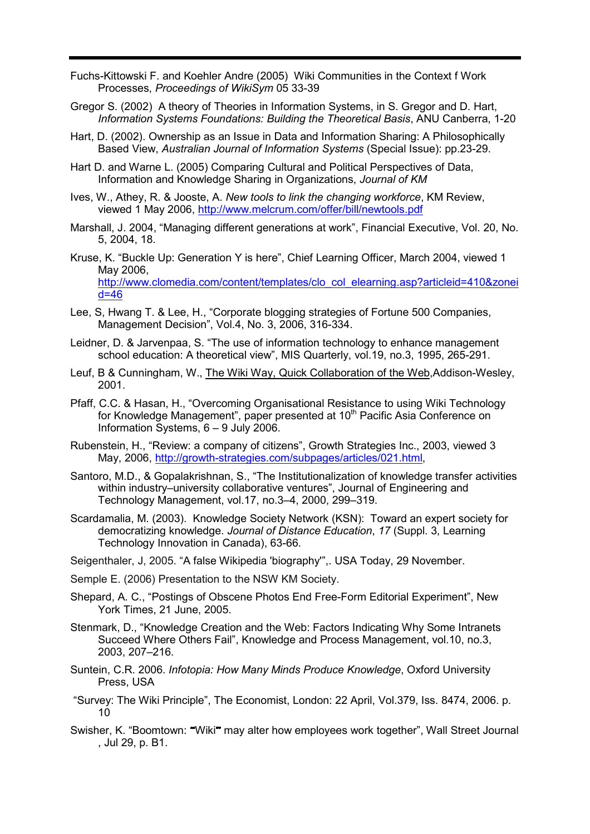- Fuchs-Kittowski F. and Koehler Andre (2005) Wiki Communities in the Context f Work Processes, *Proceedings of WikiSym* 05 33-39
- Gregor S. (2002) A theory of Theories in Information Systems, in S. Gregor and D. Hart, *Information Systems Foundations: Building the Theoretical Basis*, ANU Canberra, 1-20
- Hart, D. (2002). Ownership as an Issue in Data and Information Sharing: A Philosophically Based View, *Australian Journal of Information Systems* (Special Issue): pp.23-29.
- Hart D. and Warne L. (2005) Comparing Cultural and Political Perspectives of Data, Information and Knowledge Sharing in Organizations, *Journal of KM*
- Ives, W., Athey, R. & Jooste, A. *New tools to link the changing workforce*, KM Review, viewed 1 May 2006, http://www.melcrum.com/offer/bill/newtools.pdf
- Marshall, J. 2004, "Managing different generations at work", Financial Executive, Vol. 20, No. 5, 2004, 18.
- Kruse, K. "Buckle Up: Generation Y is here", Chief Learning Officer, March 2004, viewed 1 May 2006, http://www.clomedia.com/content/templates/clo\_col\_elearning.asp?articleid=410&zonei d=46
- Lee, S, Hwang T. & Lee, H., "Corporate blogging strategies of Fortune 500 Companies, Management Decision", Vol.4, No. 3, 2006, 316-334.
- Leidner, D. & Jarvenpaa, S. "The use of information technology to enhance management school education: A theoretical view", MIS Quarterly, vol.19, no.3, 1995, 265-291.
- Leuf, B & Cunningham, W., The Wiki Way, Quick Collaboration of the Web,Addison-Wesley, 2001.
- Pfaff, C.C. & Hasan, H., "Overcoming Organisational Resistance to using Wiki Technology for Knowledge Management", paper presented at 10<sup>th</sup> Pacific Asia Conference on Information Systems, 6 – 9 July 2006.
- Rubenstein, H., "Review: a company of citizens", Growth Strategies Inc., 2003, viewed 3 May, 2006, http://growth-strategies.com/subpages/articles/021.html,
- Santoro, M.D., & Gopalakrishnan, S., "The Institutionalization of knowledge transfer activities within industry–university collaborative ventures", Journal of Engineering and Technology Management, vol.17, no.3–4, 2000, 299–319.
- Scardamalia, M. (2003). Knowledge Society Network (KSN): Toward an expert society for democratizing knowledge. *Journal of Distance Education*, *17* (Suppl. 3, Learning Technology Innovation in Canada), 63-66.
- Seigenthaler, J, 2005. "A false Wikipedia 'biography'",. USA Today, 29 November.
- Semple E. (2006) Presentation to the NSW KM Society.
- Shepard, A. C., "Postings of Obscene Photos End Free-Form Editorial Experiment", New York Times, 21 June, 2005.
- Stenmark, D., "Knowledge Creation and the Web: Factors Indicating Why Some Intranets Succeed Where Others Fail", Knowledge and Process Management, vol.10, no.3, 2003, 207–216.
- Suntein, C.R. 2006. *Infotopia: How Many Minds Produce Knowledge*, Oxford University Press, USA
- "Survey: The Wiki Principle", The Economist, London: 22 April, Vol.379, Iss. 8474, 2006. p. 10
- Swisher, K. "Boomtown: "Wiki" may alter how employees work together", Wall Street Journal , Jul 29, p. B1.